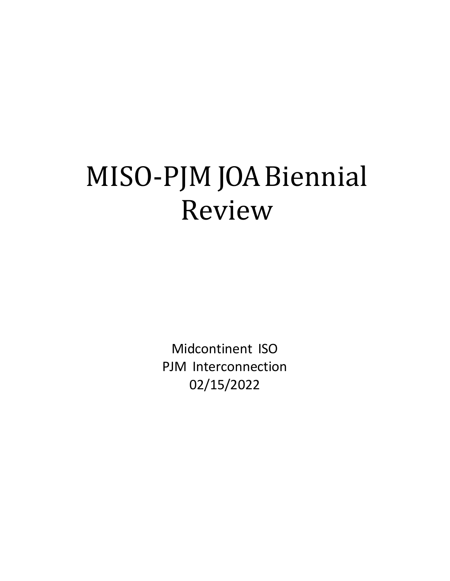# MISO-PJM JOA Biennial Review

Midcontinent ISO PJM Interconnection 02/15/2022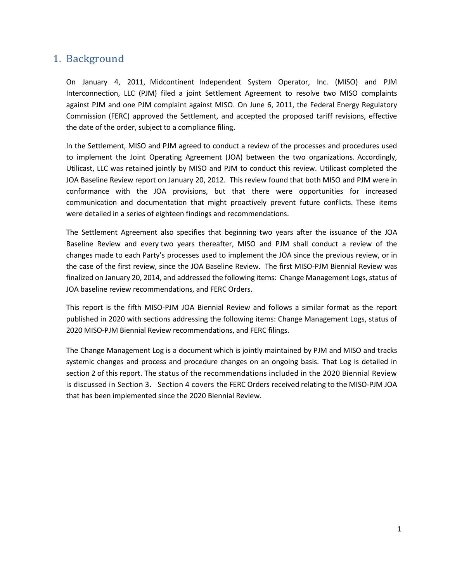# 1. Background

On January 4, 2011, Midcontinent Independent System Operator, Inc. (MISO) and PJM Interconnection, LLC (PJM) filed a joint Settlement Agreement to resolve two MISO complaints against PJM and one PJM complaint against MISO. On June 6, 2011, the Federal Energy Regulatory Commission (FERC) approved the Settlement, and accepted the proposed tariff revisions, effective the date of the order, subject to a compliance filing.

In the Settlement, MISO and PJM agreed to conduct a review of the processes and procedures used to implement the Joint Operating Agreement (JOA) between the two organizations. Accordingly, Utilicast, LLC was retained jointly by MISO and PJM to conduct this review. Utilicast completed the JOA Baseline Review report on January 20, 2012. This review found that both MISO and PJM were in conformance with the JOA provisions, but that there were opportunities for increased communication and documentation that might proactively prevent future conflicts. These items were detailed in a series of eighteen findings and recommendations.

The Settlement Agreement also specifies that beginning two years after the issuance of the JOA Baseline Review and every two years thereafter, MISO and PJM shall conduct a review of the changes made to each Party's processes used to implement the JOA since the previous review, or in the case of the first review, since the JOA Baseline Review. The first MISO-PJM Biennial Review was finalized on January 20, 2014, and addressed the following items: Change Management Logs, status of JOA baseline review recommendations, and FERC Orders.

This report is the fifth MISO-PJM JOA Biennial Review and follows a similar format as the report published in 2020 with sections addressing the following items: Change Management Logs, status of 2020 MISO-PJM Biennial Review recommendations, and FERC filings.

The Change Management Log is a document which is jointly maintained by PJM and MISO and tracks systemic changes and process and procedure changes on an ongoing basis. That Log is detailed in section 2 of this report. The status of the recommendations included in the 2020 Biennial Review is discussed in Section 3. Section 4 covers the FERC Orders received relating to the MISO-PJM JOA that has been implemented since the 2020 Biennial Review.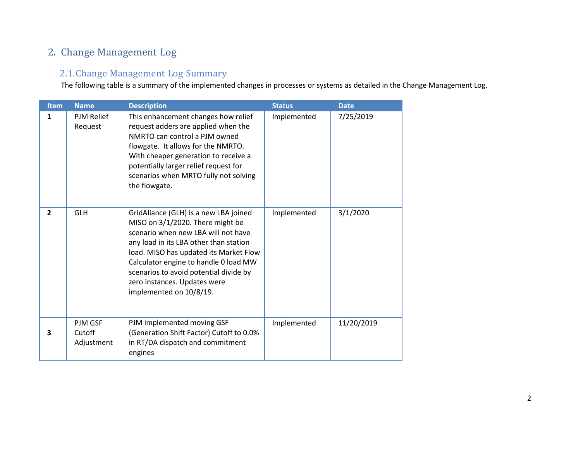# 2. Change Management Log

# 2.1.Change Management Log Summary

The following table is a summary of the implemented changes in processes or systems as detailed in the Change Management Log.

| <b>Item</b>  | <b>Name</b>                     | <b>Description</b>                                                                                                                                                                                                                                                                                                                                 | <b>Status</b> | <b>Date</b> |
|--------------|---------------------------------|----------------------------------------------------------------------------------------------------------------------------------------------------------------------------------------------------------------------------------------------------------------------------------------------------------------------------------------------------|---------------|-------------|
| 1            | <b>PJM Relief</b><br>Request    | This enhancement changes how relief<br>request adders are applied when the<br>NMRTO can control a PJM owned<br>flowgate. It allows for the NMRTO.<br>With cheaper generation to receive a<br>potentially larger relief request for<br>scenarios when MRTO fully not solving<br>the flowgate.                                                       | Implemented   | 7/25/2019   |
| $\mathbf{2}$ | <b>GLH</b>                      | GridAliance (GLH) is a new LBA joined<br>MISO on 3/1/2020. There might be<br>scenario when new LBA will not have<br>any load in its LBA other than station<br>load. MISO has updated its Market Flow<br>Calculator engine to handle 0 load MW<br>scenarios to avoid potential divide by<br>zero instances. Updates were<br>implemented on 10/8/19. | Implemented   | 3/1/2020    |
| 3            | PJM GSF<br>Cutoff<br>Adjustment | PJM implemented moving GSF<br>(Generation Shift Factor) Cutoff to 0.0%<br>in RT/DA dispatch and commitment<br>engines                                                                                                                                                                                                                              | Implemented   | 11/20/2019  |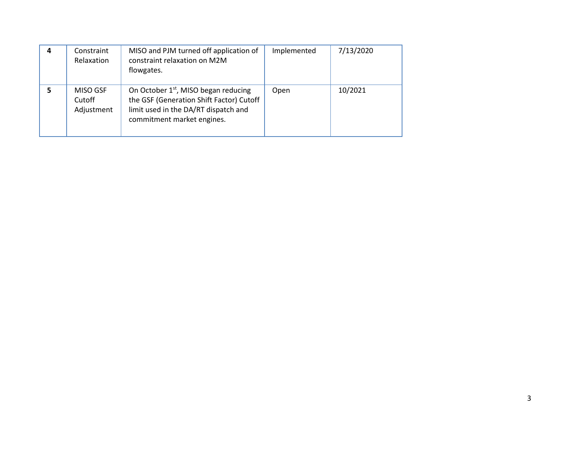| Constraint<br>Relaxation         | MISO and PJM turned off application of<br>constraint relaxation on M2M<br>flowgates.                                                                               | Implemented | 7/13/2020 |
|----------------------------------|--------------------------------------------------------------------------------------------------------------------------------------------------------------------|-------------|-----------|
| MISO GSF<br>Cutoff<br>Adjustment | On October 1 <sup>st</sup> , MISO began reducing<br>the GSF (Generation Shift Factor) Cutoff<br>limit used in the DA/RT dispatch and<br>commitment market engines. | Open        | 10/2021   |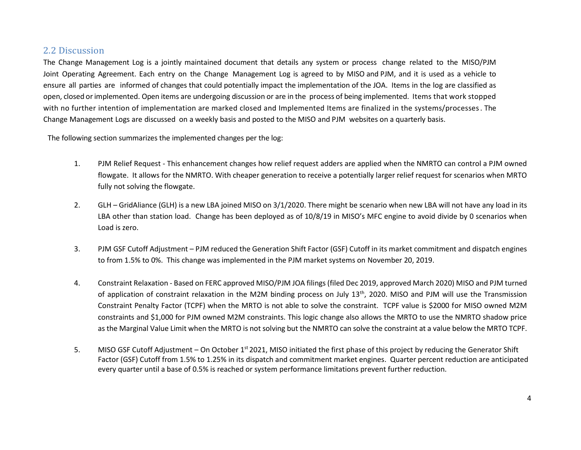# 2.2 Discussion

The Change Management Log is a jointly maintained document that details any system or process change related to the MISO/PJM Joint Operating Agreement. Each entry on the Change Management Log is agreed to by MISO and PJM, and it is used as a vehicle to ensure all parties are informed of changes that could potentially impact the implementation of the JOA. Items in the log are classified as open, closed or implemented. Open items are undergoing discussion or are in the process of being implemented. Items that work stopped with no further intention of implementation are marked closed and Implemented Items are finalized in the systems/processes. The Change Management Logs are discussed on a weekly basis and posted to the MISO and PJM websites on a quarterly basis.

The following section summarizes the implemented changes per the log:

- 1. PJM Relief Request This enhancement changes how relief request adders are applied when the NMRTO can control a PJM owned flowgate. It allows for the NMRTO. With cheaper generation to receive a potentially larger relief request for scenarios when MRTO fully not solving the flowgate.
- 2. GLH GridAliance (GLH) is a new LBA joined MISO on 3/1/2020. There might be scenario when new LBA will not have any load in its LBA other than station load. Change has been deployed as of 10/8/19 in MISO's MFC engine to avoid divide by 0 scenarios when Load is zero.
- 3. PJM GSF Cutoff Adjustment PJM reduced the Generation Shift Factor (GSF) Cutoff in its market commitment and dispatch engines to from 1.5% to 0%. This change was implemented in the PJM market systems on November 20, 2019.
- 4. Constraint Relaxation Based on FERC approved MISO/PJM JOA filings (filed Dec 2019, approved March 2020) MISO and PJM turned of application of constraint relaxation in the M2M binding process on July  $13<sup>th</sup>$ , 2020. MISO and PJM will use the Transmission Constraint Penalty Factor (TCPF) when the MRTO is not able to solve the constraint. TCPF value is \$2000 for MISO owned M2M constraints and \$1,000 for PJM owned M2M constraints. This logic change also allows the MRTO to use the NMRTO shadow price as the Marginal Value Limit when the MRTO is not solving but the NMRTO can solve the constraint at a value below the MRTO TCPF.
- 5. MISO GSF Cutoff Adjustment On October  $1^{st}$  2021, MISO initiated the first phase of this project by reducing the Generator Shift Factor (GSF) Cutoff from 1.5% to 1.25% in its dispatch and commitment market engines. Quarter percent reduction are anticipated every quarter until a base of 0.5% is reached or system performance limitations prevent further reduction.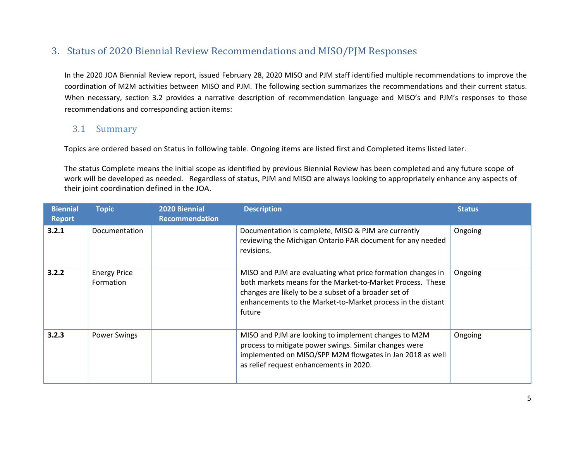# 3. Status of 2020 Biennial Review Recommendations and MISO/PJM Responses

In the 2020 JOA Biennial Review report, issued February 28, 2020 MISO and PJM staff identified multiple recommendations to improve the coordination of M2M activities between MISO and PJM. The following section summarizes the recommendations and their current status. When necessary, section 3.2 provides a narrative description of recommendation language and MISO's and PJM's responses to those recommendations and corresponding action items:

# 3.1 Summary

Topics are ordered based on Status in following table. Ongoing items are listed first and Completed items listed later.

The status Complete means the initial scope as identified by previous Biennial Review has been completed and any future scope of work will be developed as needed. Regardless of status, PJM and MISO are always looking to appropriately enhance any aspects of their joint coordination defined in the JOA.

| <b>Biennial</b><br><b>Report</b> | <b>Topic</b>                     | <b>2020 Biennial</b><br><b>Recommendation</b> | <b>Description</b>                                                                                                                                                                                                                                          | <b>Status</b> |
|----------------------------------|----------------------------------|-----------------------------------------------|-------------------------------------------------------------------------------------------------------------------------------------------------------------------------------------------------------------------------------------------------------------|---------------|
| 3.2.1                            | Documentation                    |                                               | Documentation is complete, MISO & PJM are currently<br>reviewing the Michigan Ontario PAR document for any needed<br>revisions.                                                                                                                             | Ongoing       |
| 3.2.2                            | <b>Energy Price</b><br>Formation |                                               | MISO and PJM are evaluating what price formation changes in<br>both markets means for the Market-to-Market Process. These<br>changes are likely to be a subset of a broader set of<br>enhancements to the Market-to-Market process in the distant<br>future | Ongoing       |
| 3.2.3                            | <b>Power Swings</b>              |                                               | MISO and PJM are looking to implement changes to M2M<br>process to mitigate power swings. Similar changes were<br>implemented on MISO/SPP M2M flowgates in Jan 2018 as well<br>as relief request enhancements in 2020.                                      | Ongoing       |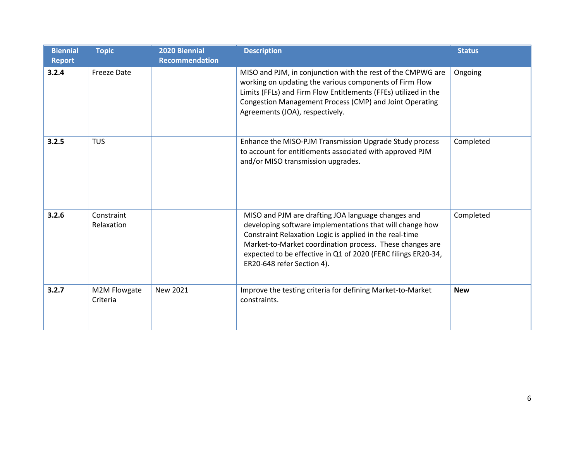| <b>Biennial</b><br><b>Report</b> | <b>Topic</b>             | 2020 Biennial<br><b>Recommendation</b> | <b>Description</b>                                                                                                                                                                                                                                                                                                                   | <b>Status</b> |
|----------------------------------|--------------------------|----------------------------------------|--------------------------------------------------------------------------------------------------------------------------------------------------------------------------------------------------------------------------------------------------------------------------------------------------------------------------------------|---------------|
| 3.2.4                            | <b>Freeze Date</b>       |                                        | MISO and PJM, in conjunction with the rest of the CMPWG are<br>working on updating the various components of Firm Flow<br>Limits (FFLs) and Firm Flow Entitlements (FFEs) utilized in the<br>Congestion Management Process (CMP) and Joint Operating<br>Agreements (JOA), respectively.                                              | Ongoing       |
| 3.2.5                            | <b>TUS</b>               |                                        | Enhance the MISO-PJM Transmission Upgrade Study process<br>to account for entitlements associated with approved PJM<br>and/or MISO transmission upgrades.                                                                                                                                                                            | Completed     |
| 3.2.6                            | Constraint<br>Relaxation |                                        | MISO and PJM are drafting JOA language changes and<br>developing software implementations that will change how<br>Constraint Relaxation Logic is applied in the real-time<br>Market-to-Market coordination process. These changes are<br>expected to be effective in Q1 of 2020 (FERC filings ER20-34,<br>ER20-648 refer Section 4). | Completed     |
| 3.2.7                            | M2M Flowgate<br>Criteria | New 2021                               | Improve the testing criteria for defining Market-to-Market<br>constraints.                                                                                                                                                                                                                                                           | <b>New</b>    |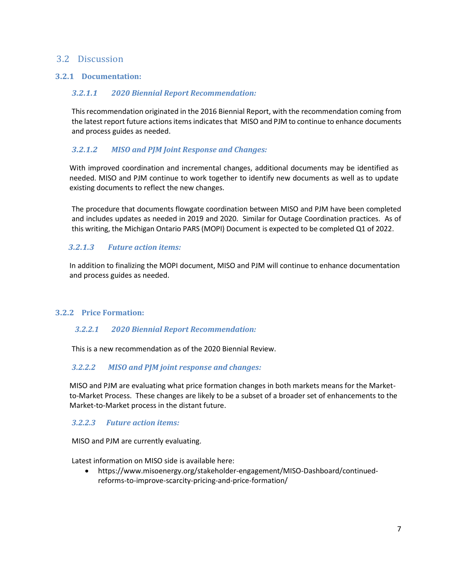# 3.2 Discussion

# **3.2.1 Documentation:**

# *3.2.1.1 2020 Biennial Report Recommendation:*

This recommendation originated in the 2016 Biennial Report, with the recommendation coming from the latest report future actions items indicates that MISO and PJM to continue to enhance documents and process guides as needed.

# *3.2.1.2 MISO and PJM Joint Response and Changes:*

With improved coordination and incremental changes, additional documents may be identified as needed. MISO and PJM continue to work together to identify new documents as well as to update existing documents to reflect the new changes.

The procedure that documents flowgate coordination between MISO and PJM have been completed and includes updates as needed in 2019 and 2020. Similar for Outage Coordination practices. As of this writing, the Michigan Ontario PARS (MOPI) Document is expected to be completed Q1 of 2022.

# *3.2.1.3 Future action items:*

In addition to finalizing the MOPI document, MISO and PJM will continue to enhance documentation and process guides as needed.

## **3.2.2 Price Formation:**

## *3.2.2.1 2020 Biennial Report Recommendation:*

This is a new recommendation as of the 2020 Biennial Review.

## *3.2.2.2 MISO and PJM joint response and changes:*

MISO and PJM are evaluating what price formation changes in both markets means for the Marketto-Market Process. These changes are likely to be a subset of a broader set of enhancements to the Market-to-Market process in the distant future.

## *3.2.2.3 Future action items:*

MISO and PJM are currently evaluating.

Latest information on MISO side is available here:

 [https://www.misoenergy.org/stakeholder-engagement/MISO-Dashboard/continued](https://www.misoenergy.org/stakeholder-engagement/MISO-Dashboard/continued-reforms-to-improve-scarcity-pricing-and-price-formation/)[reforms-to-improve-scarcity-pricing-and-price-formation/](https://www.misoenergy.org/stakeholder-engagement/MISO-Dashboard/continued-reforms-to-improve-scarcity-pricing-and-price-formation/)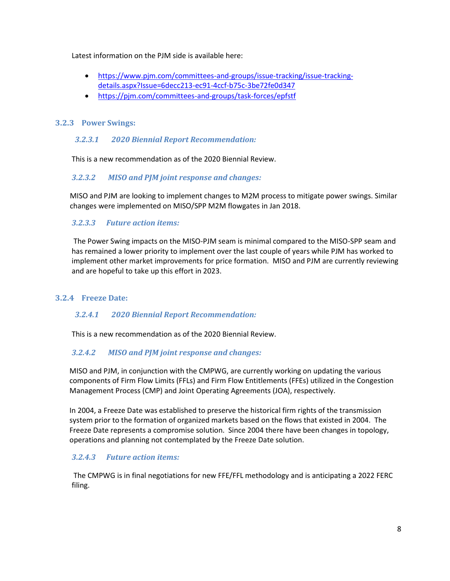Latest information on the PJM side is available here:

- [https://www.pjm.com/committees-and-groups/issue-tracking/issue-tracking](https://www.pjm.com/committees-and-groups/issue-tracking/issue-tracking-details.aspx?Issue=6decc213-ec91-4ccf-b75c-3be72fe0d347)[details.aspx?Issue=6decc213-ec91-4ccf-b75c-3be72fe0d347](https://www.pjm.com/committees-and-groups/issue-tracking/issue-tracking-details.aspx?Issue=6decc213-ec91-4ccf-b75c-3be72fe0d347)
- <https://pjm.com/committees-and-groups/task-forces/epfstf>

# **3.2.3 Power Swings:**

# *3.2.3.1 2020 Biennial Report Recommendation:*

This is a new recommendation as of the 2020 Biennial Review.

# *3.2.3.2 MISO and PJM joint response and changes:*

MISO and PJM are looking to implement changes to M2M process to mitigate power swings. Similar changes were implemented on MISO/SPP M2M flowgates in Jan 2018.

# *3.2.3.3 Future action items:*

The Power Swing impacts on the MISO-PJM seam is minimal compared to the MISO-SPP seam and has remained a lower priority to implement over the last couple of years while PJM has worked to implement other market improvements for price formation. MISO and PJM are currently reviewing and are hopeful to take up this effort in 2023.

## **3.2.4 Freeze Date:**

## *3.2.4.1 2020 Biennial Report Recommendation:*

This is a new recommendation as of the 2020 Biennial Review.

## *3.2.4.2 MISO and PJM joint response and changes:*

MISO and PJM, in conjunction with the CMPWG, are currently working on updating the various components of Firm Flow Limits (FFLs) and Firm Flow Entitlements (FFEs) utilized in the Congestion Management Process (CMP) and Joint Operating Agreements (JOA), respectively.

In 2004, a Freeze Date was established to preserve the historical firm rights of the transmission system prior to the formation of organized markets based on the flows that existed in 2004. The Freeze Date represents a compromise solution. Since 2004 there have been changes in topology, operations and planning not contemplated by the Freeze Date solution.

# *3.2.4.3 Future action items:*

The CMPWG is in final negotiations for new FFE/FFL methodology and is anticipating a 2022 FERC filing.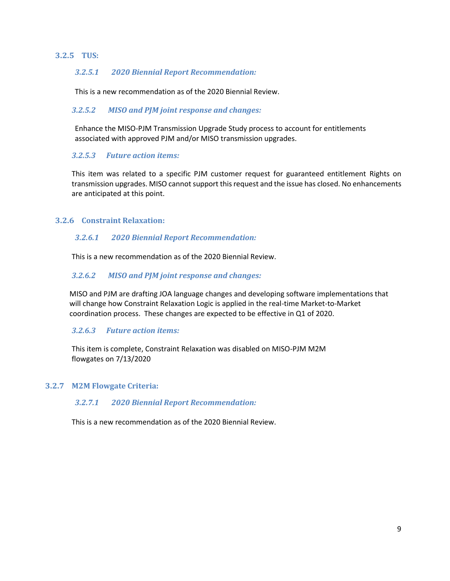#### **3.2.5 TUS:**

#### *3.2.5.1 2020 Biennial Report Recommendation:*

This is a new recommendation as of the 2020 Biennial Review.

#### *3.2.5.2 MISO and PJM joint response and changes:*

Enhance the MISO-PJM Transmission Upgrade Study process to account for entitlements associated with approved PJM and/or MISO transmission upgrades.

#### *3.2.5.3 Future action items:*

This item was related to a specific PJM customer request for guaranteed entitlement Rights on transmission upgrades. MISO cannot support this request and the issue has closed. No enhancements are anticipated at this point.

#### **3.2.6 Constraint Relaxation:**

#### *3.2.6.1 2020 Biennial Report Recommendation:*

This is a new recommendation as of the 2020 Biennial Review.

## *3.2.6.2 MISO and PJM joint response and changes:*

MISO and PJM are drafting JOA language changes and developing software implementations that will change how Constraint Relaxation Logic is applied in the real-time Market-to-Market coordination process. These changes are expected to be effective in Q1 of 2020.

## *3.2.6.3 Future action items:*

This item is complete, Constraint Relaxation was disabled on MISO-PJM M2M flowgates on 7/13/2020

#### **3.2.7 M2M Flowgate Criteria:**

#### *3.2.7.1 2020 Biennial Report Recommendation:*

This is a new recommendation as of the 2020 Biennial Review.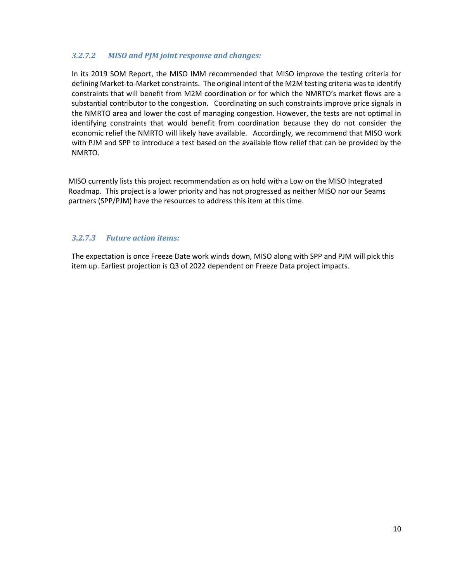# *3.2.7.2 MISO and PJM joint response and changes:*

In its 2019 SOM Report, the MISO IMM recommended that MISO improve the testing criteria for defining Market-to-Market constraints. The original intent of the M2M testing criteria was to identify constraints that will benefit from M2M coordination or for which the NMRTO's market flows are a substantial contributor to the congestion. Coordinating on such constraints improve price signals in the NMRTO area and lower the cost of managing congestion. However, the tests are not optimal in identifying constraints that would benefit from coordination because they do not consider the economic relief the NMRTO will likely have available. Accordingly, we recommend that MISO work with PJM and SPP to introduce a test based on the available flow relief that can be provided by the NMRTO.

MISO currently lists this project recommendation as on hold with a Low on the MISO Integrated Roadmap. This project is a lower priority and has not progressed as neither MISO nor our Seams partners (SPP/PJM) have the resources to address this item at this time.

# *3.2.7.3 Future action items:*

The expectation is once Freeze Date work winds down, MISO along with SPP and PJM will pick this item up. Earliest projection is Q3 of 2022 dependent on Freeze Data project impacts.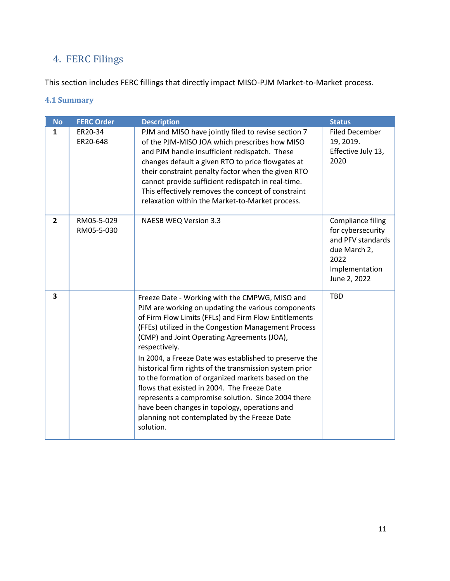# 4. FERC Filings

This section includes FERC fillings that directly impact MISO-PJM Market-to-Market process.

# **4.1 Summary**

| <b>No</b>               | <b>FERC Order</b>        | <b>Description</b>                                                                                                                                                                                                                                                                                                                                                                                                                                                                                                                                                                                                                                                                  | <b>Status</b>                                                                                                                |
|-------------------------|--------------------------|-------------------------------------------------------------------------------------------------------------------------------------------------------------------------------------------------------------------------------------------------------------------------------------------------------------------------------------------------------------------------------------------------------------------------------------------------------------------------------------------------------------------------------------------------------------------------------------------------------------------------------------------------------------------------------------|------------------------------------------------------------------------------------------------------------------------------|
| $\mathbf{1}$            | ER20-34<br>ER20-648      | PJM and MISO have jointly filed to revise section 7<br>of the PJM-MISO JOA which prescribes how MISO<br>and PJM handle insufficient redispatch. These<br>changes default a given RTO to price flowgates at<br>their constraint penalty factor when the given RTO<br>cannot provide sufficient redispatch in real-time.<br>This effectively removes the concept of constraint<br>relaxation within the Market-to-Market process.                                                                                                                                                                                                                                                     | <b>Filed December</b><br>19, 2019.<br>Effective July 13,<br>2020                                                             |
| $\overline{2}$          | RM05-5-029<br>RM05-5-030 | <b>NAESB WEQ Version 3.3</b>                                                                                                                                                                                                                                                                                                                                                                                                                                                                                                                                                                                                                                                        | <b>Compliance filing</b><br>for cybersecurity<br>and PFV standards<br>due March 2,<br>2022<br>Implementation<br>June 2, 2022 |
| $\overline{\mathbf{3}}$ |                          | Freeze Date - Working with the CMPWG, MISO and<br>PJM are working on updating the various components<br>of Firm Flow Limits (FFLs) and Firm Flow Entitlements<br>(FFEs) utilized in the Congestion Management Process<br>(CMP) and Joint Operating Agreements (JOA),<br>respectively.<br>In 2004, a Freeze Date was established to preserve the<br>historical firm rights of the transmission system prior<br>to the formation of organized markets based on the<br>flows that existed in 2004. The Freeze Date<br>represents a compromise solution. Since 2004 there<br>have been changes in topology, operations and<br>planning not contemplated by the Freeze Date<br>solution. | <b>TBD</b>                                                                                                                   |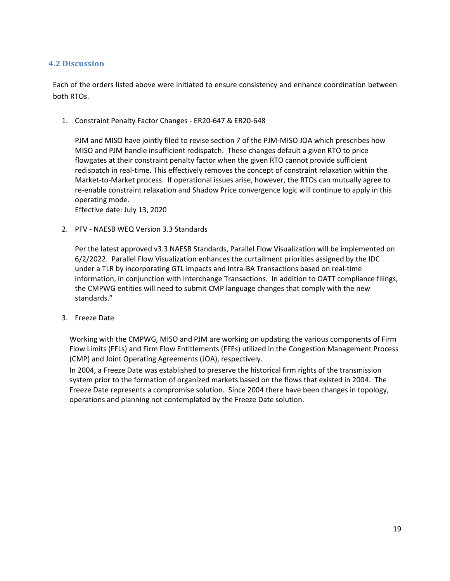## **4.2 Discussion**

Each of the orders listed above were initiated to ensure consistency and enhance coordination between both RTOs.

1. Constraint Penalty Factor Changes - ER20-647 & ER20-648

PJM and MISO have jointly filed to revise section 7 of the PJM-MISO JOA which prescribes how MISO and PJM handle insufficient redispatch. These changes default a given RTO to price flowgates at their constraint penalty factor when the given RTO cannot provide sufficient redispatch in real-time. This effectively removes the concept of constraint relaxation within the Market-to-Market process. If operational issues arise, however, the RTOs can mutually agree to re-enable constraint relaxation and Shadow Price convergence logic will continue to apply in this operating mode.

Effective date: July 13, 2020

#### 2. PFV - NAESB WEQ Version 3.3 Standards

Per the latest approved v3.3 NAESB Standards, Parallel Flow Visualization will be implemented on 6/2/2022. Parallel Flow Visualization enhances the curtailment priorities assigned by the IDC under a TLR by incorporating GTL impacts and Intra-BA Transactions based on real-time information, in conjunction with Interchange Transactions. In addition to OATT compliance filings, the CMPWG entities will need to submit CMP language changes that comply with the new standards."

#### 3. Freeze Date

Working with the CMPWG, MISO and PJM are working on updating the various components of Firm Flow Limits (FFLs) and Firm Flow Entitlements (FFEs) utilized in the Congestion Management Process (CMP) and Joint Operating Agreements (JOA), respectively.

In 2004, a Freeze Date was established to preserve the historical firm rights of the transmission system prior to the formation of organized markets based on the flows that existed in 2004. The Freeze Date represents a compromise solution. Since 2004 there have been changes in topology, operations and planning not contemplated by the Freeze Date solution.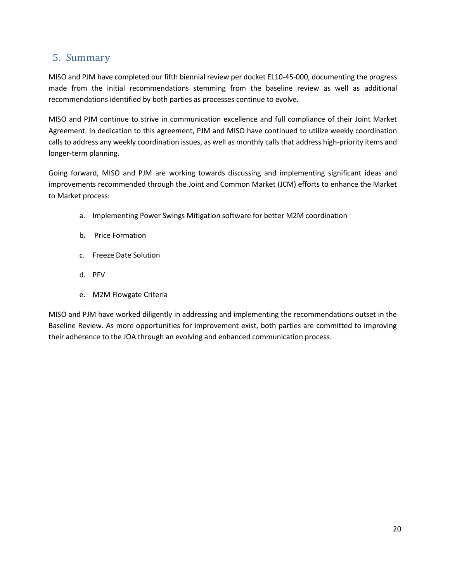# 5. Summary

MISO and PJM have completed our fifth biennial review per docket EL10-45-000, documenting the progress made from the initial recommendations stemming from the baseline review as well as additional recommendations identified by both parties as processes continue to evolve.

MISO and PJM continue to strive in communication excellence and full compliance of their Joint Market Agreement. In dedication to this agreement, PJM and MISO have continued to utilize weekly coordination calls to address any weekly coordination issues, as well as monthly calls that address high-priority items and longer-term planning.

Going forward, MISO and PJM are working towards discussing and implementing significant ideas and improvements recommended through the Joint and Common Market (JCM) efforts to enhance the Market to Market process:

- a. Implementing Power Swings Mitigation software for better M2M coordination
- b. Price Formation
- c. Freeze Date Solution
- d. PFV
- e. M2M Flowgate Criteria

MISO and PJM have worked diligently in addressing and implementing the recommendations outset in the Baseline Review. As more opportunities for improvement exist, both parties are committed to improving their adherence to the JOA through an evolving and enhanced communication process.